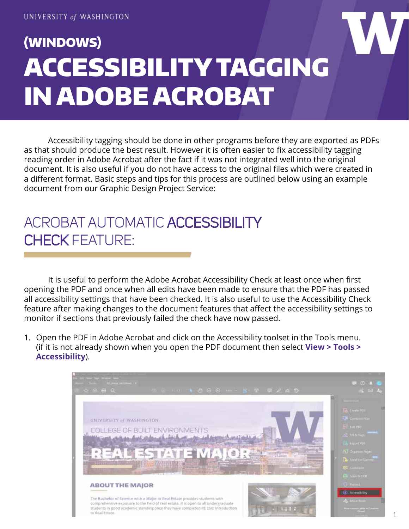## (WINDOWS) ACCESSIBILITY TAGGING IN ADOBE ACROBAT

Accessibility tagging should be done in other programs before they are exported as PDFs as that should produce the best result. However it is often easier to fix accessibility tagging reading order in Adobe Acrobat after the fact if it was not integrated well into the original document. It is also useful if you do not have access to the original files which were created in a different format. Basic steps and tips for this process are outlined below using an example document from our Graphic Design Project Service:

## ACROBAT AUTOMATIC ACCESSIBILITY CHECK FEATURE:

It is useful to perform the Adobe Acrobat Accessibility Check at least once when first opening the PDF and once when all edits have been made to ensure that the PDF has passed all accessibility settings that have been checked. It is also useful to use the Accessibility Check feature after making changes to the document features that affect the accessibility settings to monitor if sections that previously failed the check have now passed.

1. Open the PDF in Adobe Acrobat and click on the Accessibility toolset in the Tools menu. (if it is not already shown when you open the PDF document then select **View > Tools > Accessibility**).

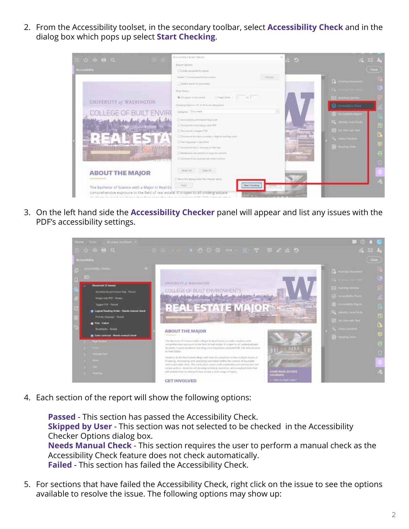2. From the Accessibility toolset, in the secondary toolbar, select **Accessibility Check** and in the dialog box which pops up select **Start Checking**.



3. On the left hand side the **Accessibility Checker** panel will appear and list any issues with the PDF's accessibility settings.



4. Each section of the report will show the following options:

**Passed** - This section has passed the Accessibility Check. **Skipped by User** - This section was not selected to be checked in the Accessibility Checker Options dialog box. **Needs Manual Check** - This section requires the user to perform a manual check as the Accessibility Check feature does not check automatically. **Failed** - This section has failed the Accessibility Check.

5. For sections that have failed the Accessibility Check, right click on the issue to see the options available to resolve the issue. The following options may show up: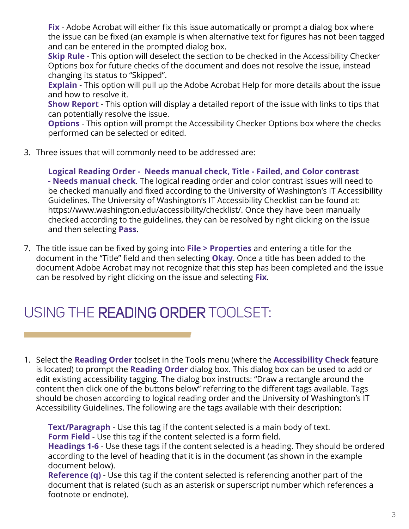**Fix** - Adobe Acrobat will either fix this issue automatically or prompt a dialog box where the issue can be fixed (an example is when alternative text for figures has not been tagged and can be entered in the prompted dialog box.

**Skip Rule** - This option will deselect the section to be checked in the Accessibility Checker Options box for future checks of the document and does not resolve the issue, instead changing its status to "Skipped".

**Explain** - This option will pull up the Adobe Acrobat Help for more details about the issue and how to resolve it.

**Show Report** - This option will display a detailed report of the issue with links to tips that can potentially resolve the issue.

**Options** - This option will prompt the Accessibility Checker Options box where the checks performed can be selected or edited.

3. Three issues that will commonly need to be addressed are:

**Logical Reading Order - Needs manual check, Title - Failed, and Color contrast - Needs manual check**. The logical reading order and color contrast issues will need to be checked manually and fixed according to the University of Washington's IT Accessibility Guidelines. The University of Washington's IT Accessibility Checklist can be found at: <https://www.washington.edu/accessibility/checklist>/. Once they have been manually checked according to the guidelines, they can be resolved by right clicking on the issue and then selecting **Pass**.

7. The title issue can be fixed by going into **File > Properties** and entering a title for the document in the "Title" field and then selecting **Okay**. Once a title has been added to the document Adobe Acrobat may not recognize that this step has been completed and the issue can be resolved by right clicking on the issue and selecting **Fix**.

## USING THE READING ORDER TOOLSET:

1. Select the **Reading Order** toolset in the Tools menu (where the **Accessibility Check** feature is located) to prompt the **Reading Order** dialog box. This dialog box can be used to add or edit existing accessibility tagging. The dialog box instructs: "Draw a rectangle around the content then click one of the buttons below" referring to the different tags available. Tags should be chosen according to logical reading order and the University of Washington's IT Accessibility Guidelines. The following are the tags available with their description:

**Text/Paragraph** - Use this tag if the content selected is a main body of text. **Form Field** - Use this tag if the content selected is a form field.

**Headings 1-6** - Use these tags if the content selected is a heading. They should be ordered according to the level of heading that it is in the document (as shown in the example document below).

**Reference (q)** - Use this tag if the content selected is referencing another part of the document that is related (such as an asterisk or superscript number which references a footnote or endnote).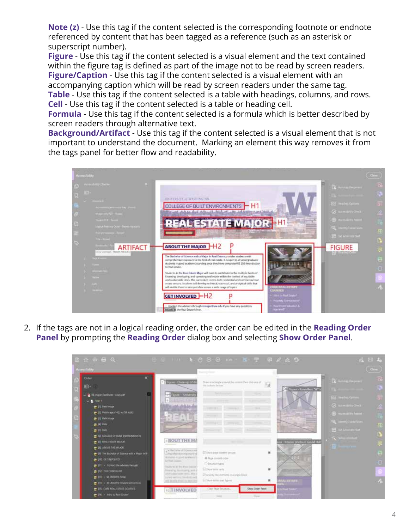**Note (z)** - Use this tag if the content selected is the corresponding footnote or endnote referenced by content that has been tagged as a reference (such as an asterisk or superscript number).

**Figure** - Use this tag if the content selected is a visual element and the text contained within the figure tag is defined as part of the image not to be read by screen readers. **Figure/Caption** - Use this tag if the content selected is a visual element with an accompanying caption which will be read by screen readers under the same tag. **Table** - Use this tag if the content selected is a table with headings, columns, and rows. **Cell** - Use this tag if the content selected is a table or heading cell.

**Formula** - Use this tag if the content selected is a formula which is better described by screen readers through alternative text.

**Background/Artifact** - Use this tag if the content selected is a visual element that is not important to understand the document. Marking an element this way removes it from the tags panel for better flow and readability.



2. If the tags are not in a logical reading order, the order can be edited in the **Reading Order Panel** by prompting the **Reading Order** dialog box and selecting **Show Order Panel**.